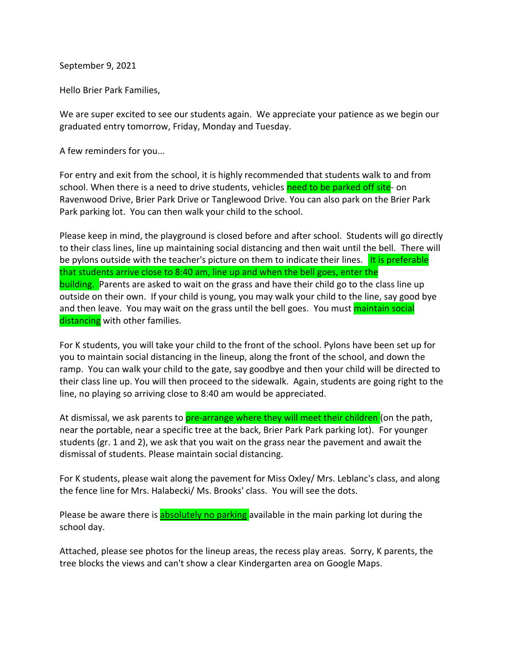September 9, 2021

Hello Brier Park Families,

We are super excited to see our students again. We appreciate your patience as we begin our graduated entry tomorrow, Friday, Monday and Tuesday.

A few reminders for you...

For entry and exit from the school, it is highly recommended that students walk to and from school. When there is a need to drive students, vehicles need to be parked off site- on Ravenwood Drive, Brier Park Drive or Tanglewood Drive. You can also park on the Brier Park Park parking lot. You can then walk your child to the school.

Please keep in mind, the playground is closed before and after school. Students will go directly to their class lines, line up maintaining social distancing and then wait until the bell. There will be pylons outside with the teacher's picture on them to indicate their lines. It is preferable that students arrive close to 8:40 am, line up and when the bell goes, enter the building. Parents are asked to wait on the grass and have their child go to the class line up outside on their own. If your child is young, you may walk your child to the line, say good bye and then leave. You may wait on the grass until the bell goes. You must maintain social distancing with other families.

For K students, you will take your child to the front of the school. Pylons have been set up for you to maintain social distancing in the lineup, along the front of the school, and down the ramp. You can walk your child to the gate, say goodbye and then your child will be directed to their class line up. You will then proceed to the sidewalk. Again, students are going right to the line, no playing so arriving close to 8:40 am would be appreciated.

At dismissal, we ask parents to **pre-arrange where they will meet their children** (on the path, near the portable, near a specific tree at the back, Brier Park Park parking lot). For younger students (gr. 1 and 2), we ask that you wait on the grass near the pavement and await the dismissal of students. Please maintain social distancing.

For K students, please wait along the pavement for Miss Oxley/ Mrs. Leblanc's class, and along the fence line for Mrs. Halabecki/ Ms. Brooks' class. You will see the dots.

Please be aware there is absolutely no parking available in the main parking lot during the school day.

Attached, please see photos for the lineup areas, the recess play areas. Sorry, K parents, the tree blocks the views and can't show a clear Kindergarten area on Google Maps.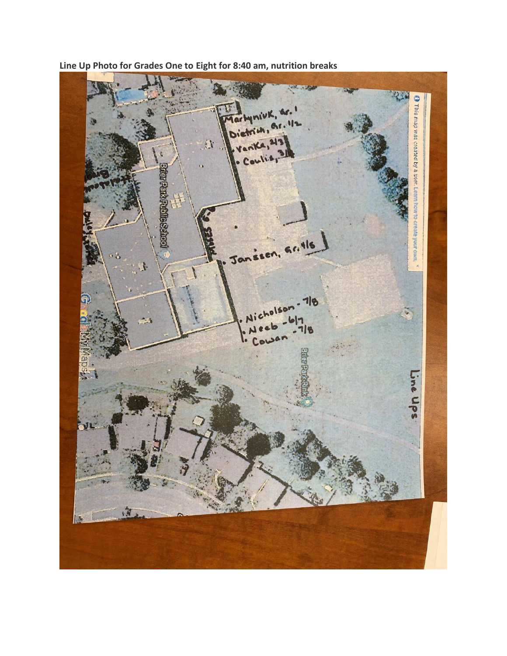**Line Up Photo for Grades One to Eight for 8:40 am, nutrition breaks**

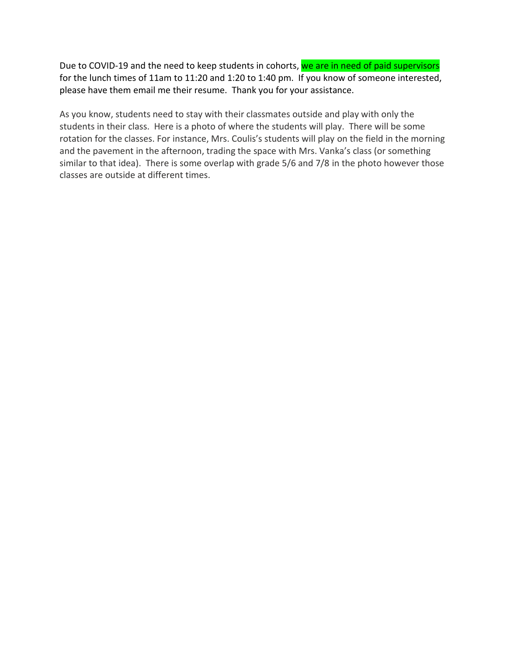Due to COVID-19 and the need to keep students in cohorts, we are in need of paid supervisors for the lunch times of 11am to 11:20 and 1:20 to 1:40 pm. If you know of someone interested, please have them email me their resume. Thank you for your assistance.

As you know, students need to stay with their classmates outside and play with only the students in their class. Here is a photo of where the students will play. There will be some rotation for the classes. For instance, Mrs. Coulis's students will play on the field in the morning and the pavement in the afternoon, trading the space with Mrs. Vanka's class (or something similar to that idea). There is some overlap with grade 5/6 and 7/8 in the photo however those classes are outside at different times.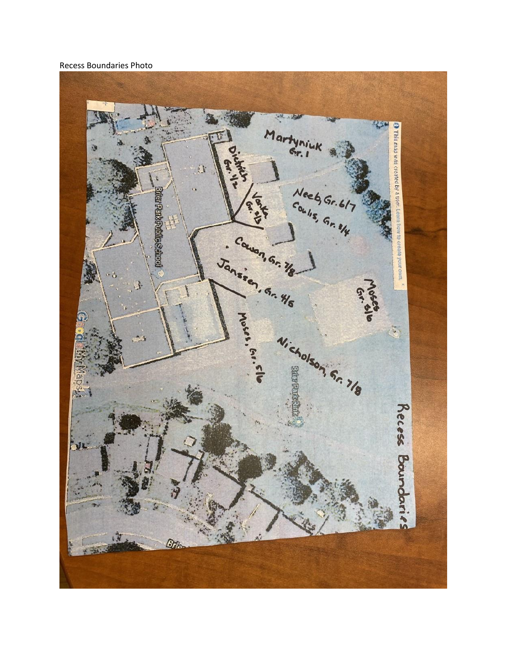## Recess Boundaries Photo